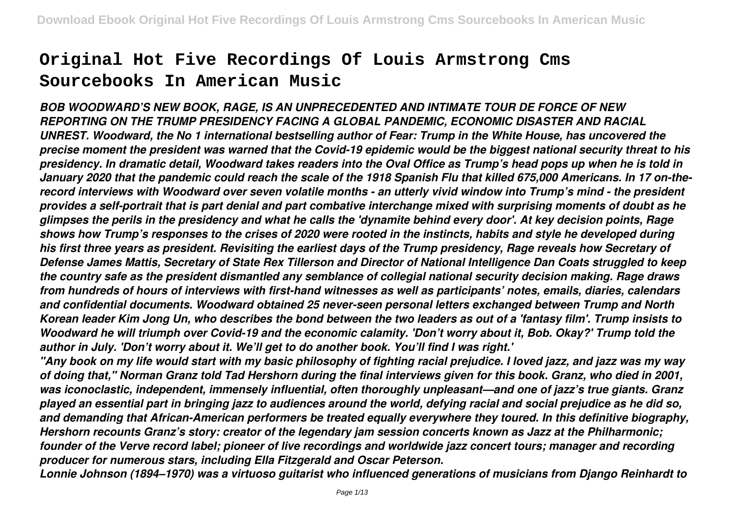# **Original Hot Five Recordings Of Louis Armstrong Cms Sourcebooks In American Music**

*BOB WOODWARD'S NEW BOOK, RAGE, IS AN UNPRECEDENTED AND INTIMATE TOUR DE FORCE OF NEW REPORTING ON THE TRUMP PRESIDENCY FACING A GLOBAL PANDEMIC, ECONOMIC DISASTER AND RACIAL UNREST. Woodward, the No 1 international bestselling author of Fear: Trump in the White House, has uncovered the precise moment the president was warned that the Covid-19 epidemic would be the biggest national security threat to his presidency. In dramatic detail, Woodward takes readers into the Oval Office as Trump's head pops up when he is told in January 2020 that the pandemic could reach the scale of the 1918 Spanish Flu that killed 675,000 Americans. In 17 on-therecord interviews with Woodward over seven volatile months - an utterly vivid window into Trump's mind - the president provides a self-portrait that is part denial and part combative interchange mixed with surprising moments of doubt as he glimpses the perils in the presidency and what he calls the 'dynamite behind every door'. At key decision points, Rage shows how Trump's responses to the crises of 2020 were rooted in the instincts, habits and style he developed during his first three years as president. Revisiting the earliest days of the Trump presidency, Rage reveals how Secretary of Defense James Mattis, Secretary of State Rex Tillerson and Director of National Intelligence Dan Coats struggled to keep the country safe as the president dismantled any semblance of collegial national security decision making. Rage draws from hundreds of hours of interviews with first-hand witnesses as well as participants' notes, emails, diaries, calendars and confidential documents. Woodward obtained 25 never-seen personal letters exchanged between Trump and North Korean leader Kim Jong Un, who describes the bond between the two leaders as out of a 'fantasy film'. Trump insists to Woodward he will triumph over Covid-19 and the economic calamity. 'Don't worry about it, Bob. Okay?' Trump told the author in July. 'Don't worry about it. We'll get to do another book. You'll find I was right.'*

*"Any book on my life would start with my basic philosophy of fighting racial prejudice. I loved jazz, and jazz was my way of doing that," Norman Granz told Tad Hershorn during the final interviews given for this book. Granz, who died in 2001, was iconoclastic, independent, immensely influential, often thoroughly unpleasant—and one of jazz's true giants. Granz played an essential part in bringing jazz to audiences around the world, defying racial and social prejudice as he did so, and demanding that African-American performers be treated equally everywhere they toured. In this definitive biography, Hershorn recounts Granz's story: creator of the legendary jam session concerts known as Jazz at the Philharmonic; founder of the Verve record label; pioneer of live recordings and worldwide jazz concert tours; manager and recording producer for numerous stars, including Ella Fitzgerald and Oscar Peterson.*

*Lonnie Johnson (1894–1970) was a virtuoso guitarist who influenced generations of musicians from Django Reinhardt to*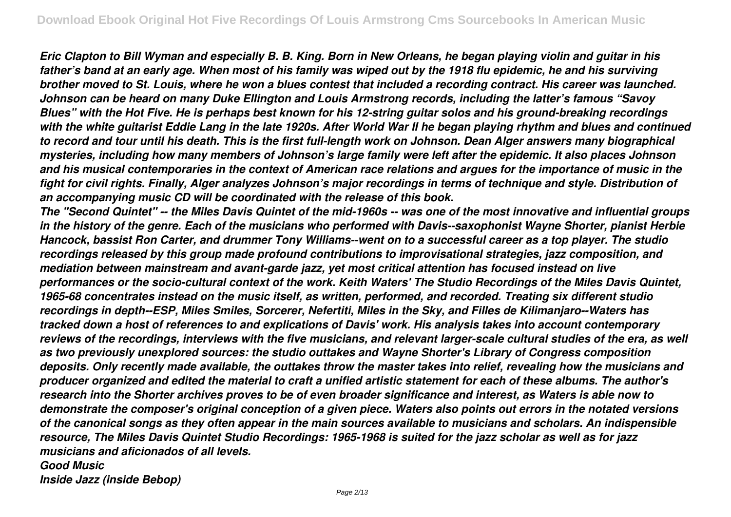*Eric Clapton to Bill Wyman and especially B. B. King. Born in New Orleans, he began playing violin and guitar in his father's band at an early age. When most of his family was wiped out by the 1918 flu epidemic, he and his surviving brother moved to St. Louis, where he won a blues contest that included a recording contract. His career was launched. Johnson can be heard on many Duke Ellington and Louis Armstrong records, including the latter's famous "Savoy Blues" with the Hot Five. He is perhaps best known for his 12-string guitar solos and his ground-breaking recordings with the white guitarist Eddie Lang in the late 1920s. After World War II he began playing rhythm and blues and continued to record and tour until his death. This is the first full-length work on Johnson. Dean Alger answers many biographical mysteries, including how many members of Johnson's large family were left after the epidemic. It also places Johnson and his musical contemporaries in the context of American race relations and argues for the importance of music in the fight for civil rights. Finally, Alger analyzes Johnson's major recordings in terms of technique and style. Distribution of an accompanying music CD will be coordinated with the release of this book.*

*The "Second Quintet" -- the Miles Davis Quintet of the mid-1960s -- was one of the most innovative and influential groups in the history of the genre. Each of the musicians who performed with Davis--saxophonist Wayne Shorter, pianist Herbie Hancock, bassist Ron Carter, and drummer Tony Williams--went on to a successful career as a top player. The studio recordings released by this group made profound contributions to improvisational strategies, jazz composition, and mediation between mainstream and avant-garde jazz, yet most critical attention has focused instead on live performances or the socio-cultural context of the work. Keith Waters' The Studio Recordings of the Miles Davis Quintet, 1965-68 concentrates instead on the music itself, as written, performed, and recorded. Treating six different studio recordings in depth--ESP, Miles Smiles, Sorcerer, Nefertiti, Miles in the Sky, and Filles de Kilimanjaro--Waters has tracked down a host of references to and explications of Davis' work. His analysis takes into account contemporary reviews of the recordings, interviews with the five musicians, and relevant larger-scale cultural studies of the era, as well as two previously unexplored sources: the studio outtakes and Wayne Shorter's Library of Congress composition deposits. Only recently made available, the outtakes throw the master takes into relief, revealing how the musicians and producer organized and edited the material to craft a unified artistic statement for each of these albums. The author's research into the Shorter archives proves to be of even broader significance and interest, as Waters is able now to demonstrate the composer's original conception of a given piece. Waters also points out errors in the notated versions of the canonical songs as they often appear in the main sources available to musicians and scholars. An indispensible resource, The Miles Davis Quintet Studio Recordings: 1965-1968 is suited for the jazz scholar as well as for jazz musicians and aficionados of all levels. Good Music*

*Inside Jazz (inside Bebop)*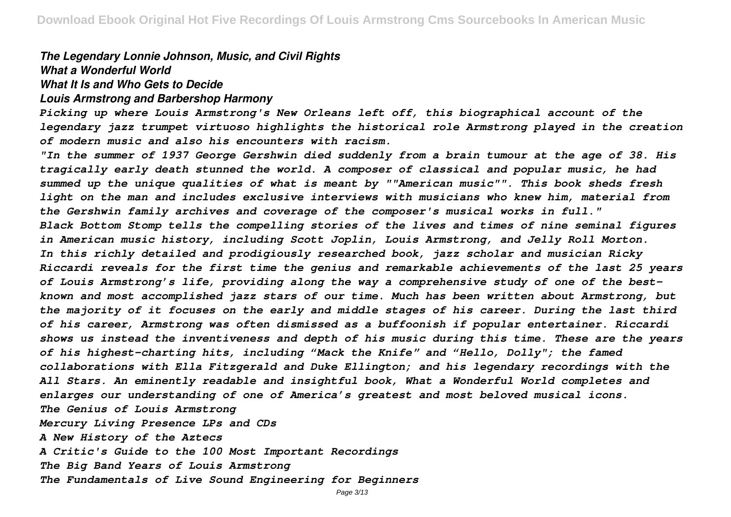#### *The Legendary Lonnie Johnson, Music, and Civil Rights What a Wonderful World*

#### *What It Is and Who Gets to Decide*

#### *Louis Armstrong and Barbershop Harmony*

*Picking up where Louis Armstrong's New Orleans left off, this biographical account of the legendary jazz trumpet virtuoso highlights the historical role Armstrong played in the creation of modern music and also his encounters with racism.*

*"In the summer of 1937 George Gershwin died suddenly from a brain tumour at the age of 38. His tragically early death stunned the world. A composer of classical and popular music, he had summed up the unique qualities of what is meant by ""American music"". This book sheds fresh light on the man and includes exclusive interviews with musicians who knew him, material from the Gershwin family archives and coverage of the composer's musical works in full." Black Bottom Stomp tells the compelling stories of the lives and times of nine seminal figures in American music history, including Scott Joplin, Louis Armstrong, and Jelly Roll Morton. In this richly detailed and prodigiously researched book, jazz scholar and musician Ricky Riccardi reveals for the first time the genius and remarkable achievements of the last 25 years of Louis Armstrong's life, providing along the way a comprehensive study of one of the bestknown and most accomplished jazz stars of our time. Much has been written about Armstrong, but the majority of it focuses on the early and middle stages of his career. During the last third of his career, Armstrong was often dismissed as a buffoonish if popular entertainer. Riccardi shows us instead the inventiveness and depth of his music during this time. These are the years of his highest-charting hits, including "Mack the Knife" and "Hello, Dolly"; the famed collaborations with Ella Fitzgerald and Duke Ellington; and his legendary recordings with the All Stars. An eminently readable and insightful book, What a Wonderful World completes and enlarges our understanding of one of America's greatest and most beloved musical icons. The Genius of Louis Armstrong Mercury Living Presence LPs and CDs A New History of the Aztecs A Critic's Guide to the 100 Most Important Recordings The Big Band Years of Louis Armstrong The Fundamentals of Live Sound Engineering for Beginners*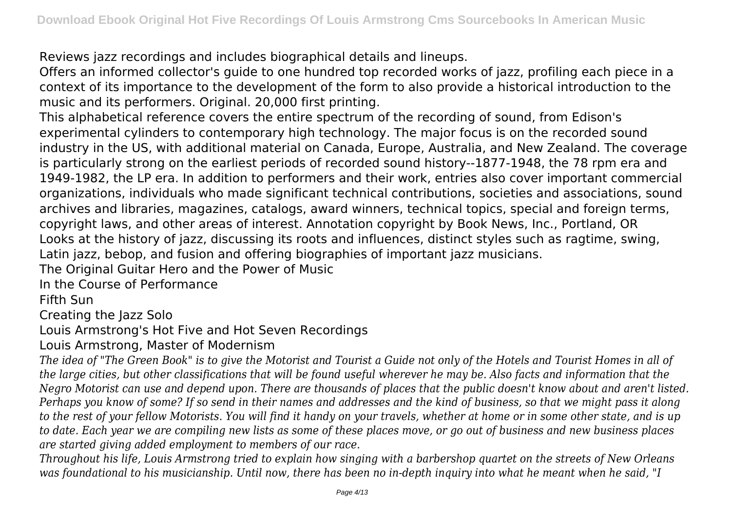Reviews jazz recordings and includes biographical details and lineups.

Offers an informed collector's guide to one hundred top recorded works of jazz, profiling each piece in a context of its importance to the development of the form to also provide a historical introduction to the music and its performers. Original. 20,000 first printing.

This alphabetical reference covers the entire spectrum of the recording of sound, from Edison's experimental cylinders to contemporary high technology. The major focus is on the recorded sound industry in the US, with additional material on Canada, Europe, Australia, and New Zealand. The coverage is particularly strong on the earliest periods of recorded sound history--1877-1948, the 78 rpm era and 1949-1982, the LP era. In addition to performers and their work, entries also cover important commercial organizations, individuals who made significant technical contributions, societies and associations, sound archives and libraries, magazines, catalogs, award winners, technical topics, special and foreign terms, copyright laws, and other areas of interest. Annotation copyright by Book News, Inc., Portland, OR Looks at the history of jazz, discussing its roots and influences, distinct styles such as ragtime, swing, Latin jazz, bebop, and fusion and offering biographies of important jazz musicians.

The Original Guitar Hero and the Power of Music

In the Course of Performance

Fifth Sun

Creating the Jazz Solo

Louis Armstrong's Hot Five and Hot Seven Recordings

Louis Armstrong, Master of Modernism

*The idea of "The Green Book" is to give the Motorist and Tourist a Guide not only of the Hotels and Tourist Homes in all of the large cities, but other classifications that will be found useful wherever he may be. Also facts and information that the Negro Motorist can use and depend upon. There are thousands of places that the public doesn't know about and aren't listed. Perhaps you know of some? If so send in their names and addresses and the kind of business, so that we might pass it along to the rest of your fellow Motorists. You will find it handy on your travels, whether at home or in some other state, and is up to date. Each year we are compiling new lists as some of these places move, or go out of business and new business places are started giving added employment to members of our race.*

*Throughout his life, Louis Armstrong tried to explain how singing with a barbershop quartet on the streets of New Orleans was foundational to his musicianship. Until now, there has been no in-depth inquiry into what he meant when he said, "I*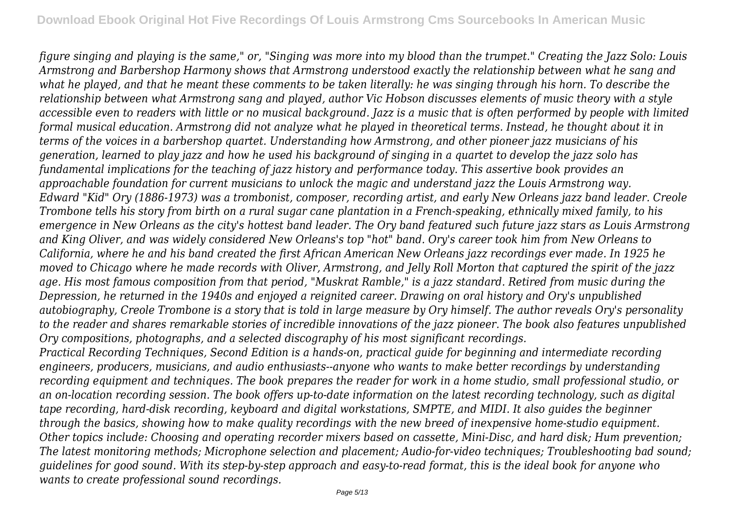*figure singing and playing is the same," or, "Singing was more into my blood than the trumpet." Creating the Jazz Solo: Louis Armstrong and Barbershop Harmony shows that Armstrong understood exactly the relationship between what he sang and what he played, and that he meant these comments to be taken literally: he was singing through his horn. To describe the relationship between what Armstrong sang and played, author Vic Hobson discusses elements of music theory with a style accessible even to readers with little or no musical background. Jazz is a music that is often performed by people with limited formal musical education. Armstrong did not analyze what he played in theoretical terms. Instead, he thought about it in terms of the voices in a barbershop quartet. Understanding how Armstrong, and other pioneer jazz musicians of his generation, learned to play jazz and how he used his background of singing in a quartet to develop the jazz solo has fundamental implications for the teaching of jazz history and performance today. This assertive book provides an approachable foundation for current musicians to unlock the magic and understand jazz the Louis Armstrong way. Edward "Kid" Ory (1886-1973) was a trombonist, composer, recording artist, and early New Orleans jazz band leader. Creole Trombone tells his story from birth on a rural sugar cane plantation in a French-speaking, ethnically mixed family, to his emergence in New Orleans as the city's hottest band leader. The Ory band featured such future jazz stars as Louis Armstrong and King Oliver, and was widely considered New Orleans's top "hot" band. Ory's career took him from New Orleans to California, where he and his band created the first African American New Orleans jazz recordings ever made. In 1925 he moved to Chicago where he made records with Oliver, Armstrong, and Jelly Roll Morton that captured the spirit of the jazz age. His most famous composition from that period, "Muskrat Ramble," is a jazz standard. Retired from music during the Depression, he returned in the 1940s and enjoyed a reignited career. Drawing on oral history and Ory's unpublished autobiography, Creole Trombone is a story that is told in large measure by Ory himself. The author reveals Ory's personality to the reader and shares remarkable stories of incredible innovations of the jazz pioneer. The book also features unpublished Ory compositions, photographs, and a selected discography of his most significant recordings.*

*Practical Recording Techniques, Second Edition is a hands-on, practical guide for beginning and intermediate recording engineers, producers, musicians, and audio enthusiasts--anyone who wants to make better recordings by understanding recording equipment and techniques. The book prepares the reader for work in a home studio, small professional studio, or an on-location recording session. The book offers up-to-date information on the latest recording technology, such as digital tape recording, hard-disk recording, keyboard and digital workstations, SMPTE, and MIDI. It also guides the beginner through the basics, showing how to make quality recordings with the new breed of inexpensive home-studio equipment. Other topics include: Choosing and operating recorder mixers based on cassette, Mini-Disc, and hard disk; Hum prevention; The latest monitoring methods; Microphone selection and placement; Audio-for-video techniques; Troubleshooting bad sound; guidelines for good sound. With its step-by-step approach and easy-to-read format, this is the ideal book for anyone who wants to create professional sound recordings.*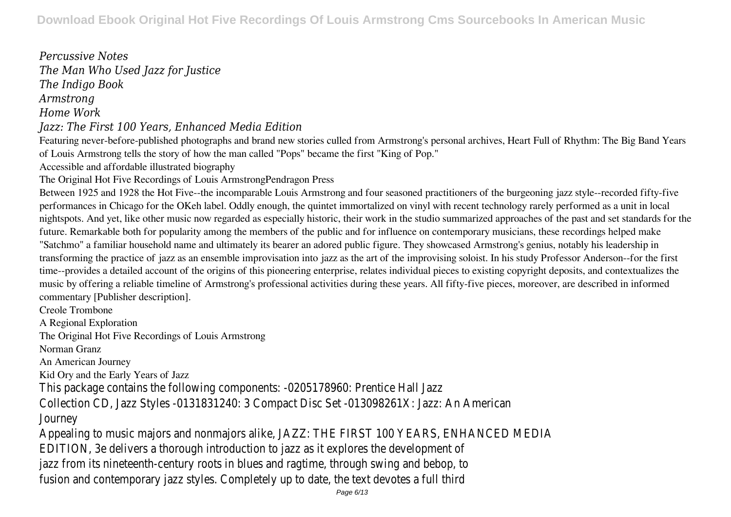*Percussive Notes The Man Who Used Jazz for Justice The Indigo Book Armstrong Home Work Jazz: The First 100 Years, Enhanced Media Edition* Featuring never-before-published photographs and brand new stories culled from Armstrong's personal archives, Heart Full of Rhythm: The Big Band Years of Louis Armstrong tells the story of how the man called "Pops" became the first "King of Pop." Accessible and affordable illustrated biography The Original Hot Five Recordings of Louis ArmstrongPendragon Press Between 1925 and 1928 the Hot Five--the incomparable Louis Armstrong and four seasoned practitioners of the burgeoning jazz style--recorded fifty-five performances in Chicago for the OKeh label. Oddly enough, the quintet immortalized on vinyl with recent technology rarely performed as a unit in local nightspots. And yet, like other music now regarded as especially historic, their work in the studio summarized approaches of the past and set standards for the future. Remarkable both for popularity among the members of the public and for influence on contemporary musicians, these recordings helped make "Satchmo" a familiar household name and ultimately its bearer an adored public figure. They showcased Armstrong's genius, notably his leadership in transforming the practice of jazz as an ensemble improvisation into jazz as the art of the improvising soloist. In his study Professor Anderson--for the first time--provides a detailed account of the origins of this pioneering enterprise, relates individual pieces to existing copyright deposits, and contextualizes the music by offering a reliable timeline of Armstrong's professional activities during these years. All fifty-five pieces, moreover, are described in informed commentary [Publisher description]. Creole Trombone A Regional Exploration The Original Hot Five Recordings of Louis Armstrong Norman Granz

An American Journey

Kid Ory and the Early Years of Jazz

This package contains the following components: -0205178960: Prentice Collection CD, Jazz Styles -0131831240: 3 Compact Disc Set -013098261X: Jazz: Journey

Appealing to music majors and nonmajors alike, JAZZ: THE FIRST 100 YEARS, ENHAN EDITION, 3e delivers a thorough introduction to jazz as it explores the devel jazz from its nineteenth-century roots in blues and ragtime, through swing and fusion and contemporary jazz styles. Completely up to date, the text devotes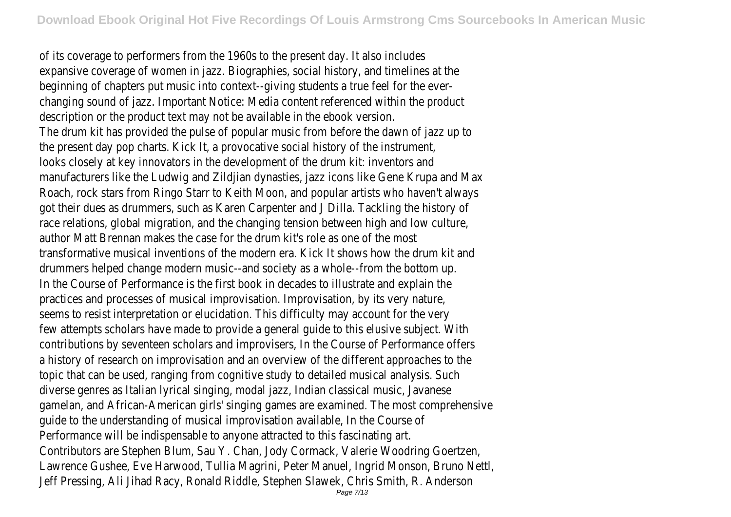of its coverage to performers from the 1960s to the present day. It also expansive coverage of women in jazz. Biographies, social history, and timeline beginning of chapters put music into context--giving students a true feel for changing sound of jazz. Important Notice: Media content referenced within the description or the product text may not be available in the ebook The drum kit has provided the pulse of popular music from before the dawn of the present day pop charts. Kick It, a provocative social history of the in looks closely at key innovators in the development of the drum kit: invertors and the drum intermanufacturers like the Ludwig and Zildjian dynasties, jazz icons like Gene Krupa Roach, rock stars from Ringo Starr to Keith Moon, and popular artists who have got their dues as drummers, such as Karen Carpenter and J Dilla. Tackling the race relations, global migration, and the changing tension between high and low author Matt Brennan makes the case for the drum kit's role as one of transformative musical inventions of the modern era. Kick It shows how the dr drummers helped change modern music--and society as a whole--from the b In the Course of Performance is the first book in decades to illustrate and  $\epsilon$ practices and processes of musical improvisation. Improvisation, by its ver seems to resist interpretation or elucidation. This difficulty may account for few attempts scholars have made to provide a general quide to this elusive sub contributions by seventeen scholars and improvisers, In the Course of Performa a history of research on improvisation and an overview of the different approac topic that can be used, ranging from cognitive study to detailed musical anal diverse genres as Italian lyrical singing, modal jazz, Indian classical music, J gamelan, and African-American girls' singing games are examined. The most compre guide to the understanding of musical improvisation available, In the C Performance will be indispensable to anyone attracted to this fascin Contributors are Stephen Blum, Sau Y. Chan, Jody Cormack, Valerie Woodring Goertzen, 1986 Lawrence Gushee, Eve Harwood, Tullia Magrini, Peter Manuel, Ingrid Monson, Br Jeff Pressing, Ali Jihad Racy, Ronald Riddle, Stephen Slawek, Chris Smith, R.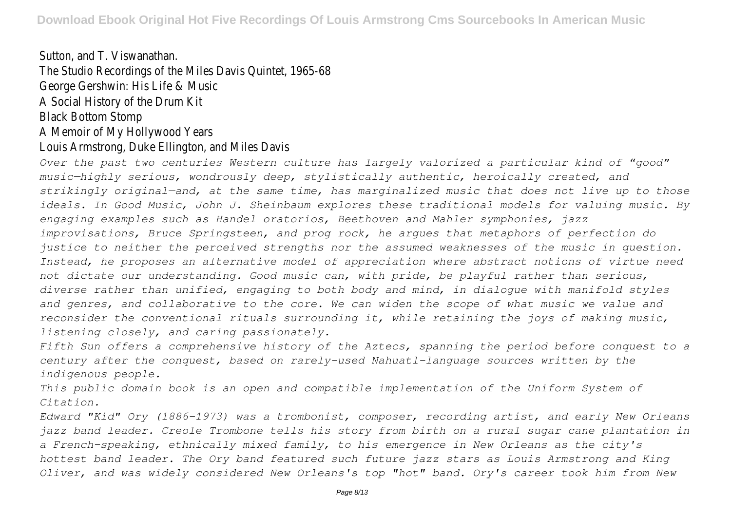# Sutton, and T. Viswanath The Studio Recordings of the Miles Davis Quintet, 1965-688 George Gershwin: His Life & Music A Social History of the Drum Black Bottom Ston A Memoir of My Hollywood Ye

### Louis Armstrong, Duke Ellington, and Miles I

*Over the past two centuries Western culture has largely valorized a particular kind of "good" music—highly serious, wondrously deep, stylistically authentic, heroically created, and strikingly original—and, at the same time, has marginalized music that does not live up to those ideals. In Good Music, John J. Sheinbaum explores these traditional models for valuing music. By engaging examples such as Handel oratorios, Beethoven and Mahler symphonies, jazz improvisations, Bruce Springsteen, and prog rock, he argues that metaphors of perfection do justice to neither the perceived strengths nor the assumed weaknesses of the music in question. Instead, he proposes an alternative model of appreciation where abstract notions of virtue need not dictate our understanding. Good music can, with pride, be playful rather than serious, diverse rather than unified, engaging to both body and mind, in dialogue with manifold styles and genres, and collaborative to the core. We can widen the scope of what music we value and reconsider the conventional rituals surrounding it, while retaining the joys of making music, listening closely, and caring passionately.*

*Fifth Sun offers a comprehensive history of the Aztecs, spanning the period before conquest to a century after the conquest, based on rarely-used Nahuatl-language sources written by the indigenous people.*

*This public domain book is an open and compatible implementation of the Uniform System of Citation.*

*Edward "Kid" Ory (1886-1973) was a trombonist, composer, recording artist, and early New Orleans jazz band leader. Creole Trombone tells his story from birth on a rural sugar cane plantation in a French-speaking, ethnically mixed family, to his emergence in New Orleans as the city's hottest band leader. The Ory band featured such future jazz stars as Louis Armstrong and King Oliver, and was widely considered New Orleans's top "hot" band. Ory's career took him from New*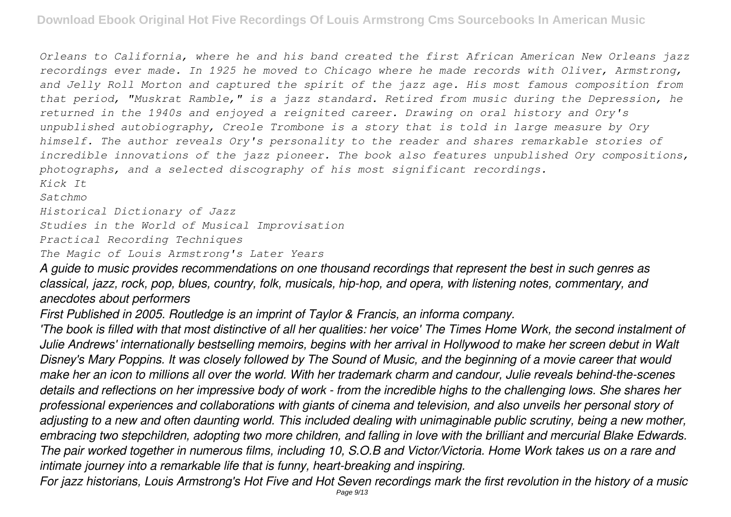*Orleans to California, where he and his band created the first African American New Orleans jazz recordings ever made. In 1925 he moved to Chicago where he made records with Oliver, Armstrong, and Jelly Roll Morton and captured the spirit of the jazz age. His most famous composition from that period, "Muskrat Ramble," is a jazz standard. Retired from music during the Depression, he returned in the 1940s and enjoyed a reignited career. Drawing on oral history and Ory's unpublished autobiography, Creole Trombone is a story that is told in large measure by Ory himself. The author reveals Ory's personality to the reader and shares remarkable stories of incredible innovations of the jazz pioneer. The book also features unpublished Ory compositions, photographs, and a selected discography of his most significant recordings.*

*Kick It*

*Satchmo*

*Historical Dictionary of Jazz*

*Studies in the World of Musical Improvisation*

*Practical Recording Techniques*

*The Magic of Louis Armstrong's Later Years*

*A guide to music provides recommendations on one thousand recordings that represent the best in such genres as classical, jazz, rock, pop, blues, country, folk, musicals, hip-hop, and opera, with listening notes, commentary, and anecdotes about performers*

*First Published in 2005. Routledge is an imprint of Taylor & Francis, an informa company.*

*'The book is filled with that most distinctive of all her qualities: her voice' The Times Home Work, the second instalment of Julie Andrews' internationally bestselling memoirs, begins with her arrival in Hollywood to make her screen debut in Walt Disney's Mary Poppins. It was closely followed by The Sound of Music, and the beginning of a movie career that would make her an icon to millions all over the world. With her trademark charm and candour, Julie reveals behind-the-scenes details and reflections on her impressive body of work - from the incredible highs to the challenging lows. She shares her professional experiences and collaborations with giants of cinema and television, and also unveils her personal story of adjusting to a new and often daunting world. This included dealing with unimaginable public scrutiny, being a new mother, embracing two stepchildren, adopting two more children, and falling in love with the brilliant and mercurial Blake Edwards. The pair worked together in numerous films, including 10, S.O.B and Victor/Victoria. Home Work takes us on a rare and intimate journey into a remarkable life that is funny, heart-breaking and inspiring.*

*For jazz historians, Louis Armstrong's Hot Five and Hot Seven recordings mark the first revolution in the history of a music* Page 9/13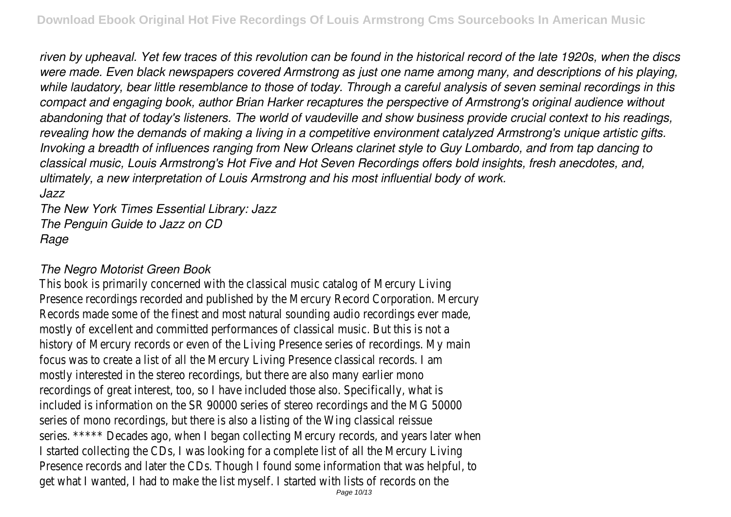*riven by upheaval. Yet few traces of this revolution can be found in the historical record of the late 1920s, when the discs were made. Even black newspapers covered Armstrong as just one name among many, and descriptions of his playing, while laudatory, bear little resemblance to those of today. Through a careful analysis of seven seminal recordings in this compact and engaging book, author Brian Harker recaptures the perspective of Armstrong's original audience without abandoning that of today's listeners. The world of vaudeville and show business provide crucial context to his readings, revealing how the demands of making a living in a competitive environment catalyzed Armstrong's unique artistic gifts. Invoking a breadth of influences ranging from New Orleans clarinet style to Guy Lombardo, and from tap dancing to classical music, Louis Armstrong's Hot Five and Hot Seven Recordings offers bold insights, fresh anecdotes, and, ultimately, a new interpretation of Louis Armstrong and his most influential body of work. Jazz*

*The New York Times Essential Library: Jazz The Penguin Guide to Jazz on CD Rage*

## *The Negro Motorist Green Book*

This book is primarily concerned with the classical music catalog of Mercury Living Presence recordings recorded and published by the Mercury Record Corporation. Ne Records made some of the finest and most natural sounding audio recordings ever mostly of excellent and committed performances of classical music. But this is no history of Mercury records or even of the Living Presence series of recordings. M focus was to create a list of all the Mercury Living Presence classical records. I am mostly interested in the stereo recordings, but there are also many earlier mono recordings of great interest, too, so I have included those also. Specifically, what included is information on the SR 90000 series of stereo recordings and the MG series of mono recordings, but there is also a listing of the Wing classical reissue series. \*\*\*\*\* Decades ago, when I began collecting Mercury records, and years late I started collecting the CDs, I was looking for a complete list of all the Mercury L Presence records and later the CDs. Though I found some information that was he get what I wanted, I had to make the list myself. I started with lists of records on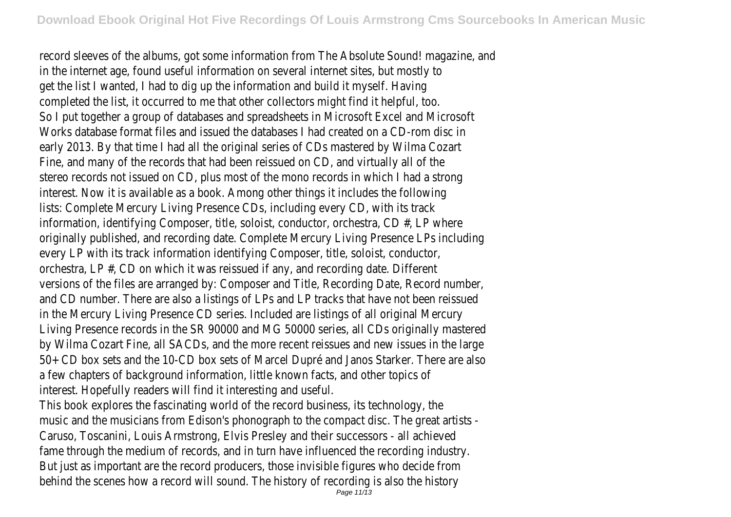record sleeves of the albums, got some information from The Absolute Sound! made in the internet age, found useful information on several internet sites, but mostly get the list I wanted, I had to dig up the information and build it myself. Having completed the list, it occurred to me that other collectors might find it helpful, to So I put together a group of databases and spreadsheets in Microsoft Excel and N Works database format files and issued the databases I had created on a CD-rom early 2013. By that time I had all the original series of CDs mastered by Wilma Co Fine, and many of the records that had been reissued on CD, and virtually all of the stereo records not issued on CD, plus most of the mono records in which I had a interest. Now it is available as a book. Among other things it includes the followin lists: Complete Mercury Living Presence CDs, including every CD, with its track information, identifying Composer, title, soloist, conductor, orchestra, CD  $#$ , LP wh originally published, and recording date. Complete Mercury Living Presence LPs incl every LP with its track information identifying Composer, title, soloist, conductor, orchestra, LP #, CD on which it was reissued if any, and recording date. Different versions of the files are arranged by: Composer and Title, Recording Date, Record i and CD number. There are also a listings of LPs and LP tracks that have not been in the Mercury Living Presence CD series. Included are listings of all original Mercur Living Presence records in the SR 90000 and MG 50000 series, all CDs originally by Wilma Cozart Fine, all SACDs, and the more recent reissues and new issues in t 50+ CD box sets and the 10-CD box sets of Marcel Dupré and Janos Starker. The a few chapters of background information, little known facts, and other topics of interest. Hopefully readers will find it interesting and useful.

This book explores the fascinating world of the record business, its technology, the music and the musicians from Edison's phonograph to the compact disc. The great Caruso, Toscanini, Louis Armstrong, Elvis Presley and their successors - all achieved fame through the medium of records, and in turn have influenced the recording ine But just as important are the record producers, those invisible figures who decide behind the scenes how a record will sound. The history of recording is also the history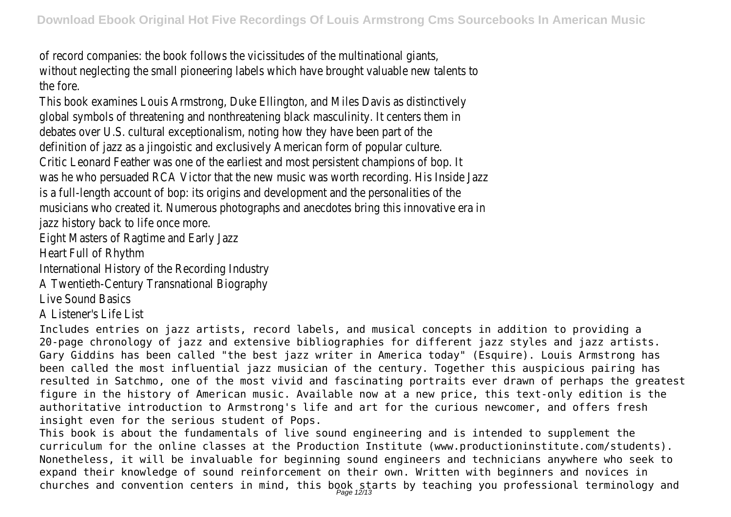of record companies: the book follows the vicissitudes of the multinational giants, without neglecting the small pioneering labels which have brought valuable new ta the fore.

This book examines Louis Armstrong, Duke Ellington, and Miles Davis as distinctively global symbols of threatening and nonthreatening black masculinity. It centers the debates over U.S. cultural exceptionalism, noting how they have been part of the definition of jazz as a jingoistic and exclusively American form of popular culture. Critic Leonard Feather was one of the earliest and most persistent champions of was he who persuaded RCA Victor that the new music was worth recording. His is a full-length account of bop: its origins and development and the personalities c musicians who created it. Numerous photographs and anecdotes bring this innovat jazz history back to life once more.

Eight Masters of Ragtime and Early Jazz

Heart Full of Rhythm

International History of the Recording Industry

A Twentieth-Century Transnational Biography

Live Sound Basics

A Listener's Life List

Includes entries on jazz artists, record labels, and musical concepts in addition to providing a 20-page chronology of jazz and extensive bibliographies for different jazz styles and jazz artists. Gary Giddins has been called "the best jazz writer in America today" (Esquire). Louis Armstrong has been called the most influential jazz musician of the century. Together this auspicious pairing has resulted in Satchmo, one of the most vivid and fascinating portraits ever drawn of perhaps the greatest figure in the history of American music. Available now at a new price, this text-only edition is the authoritative introduction to Armstrong's life and art for the curious newcomer, and offers fresh insight even for the serious student of Pops.

This book is about the fundamentals of live sound engineering and is intended to supplement the curriculum for the online classes at the Production Institute (www.productioninstitute.com/students). Nonetheless, it will be invaluable for beginning sound engineers and technicians anywhere who seek to expand their knowledge of sound reinforcement on their own. Written with beginners and novices in churches and convention centers in mind, this book starts by teaching you professional terminology and